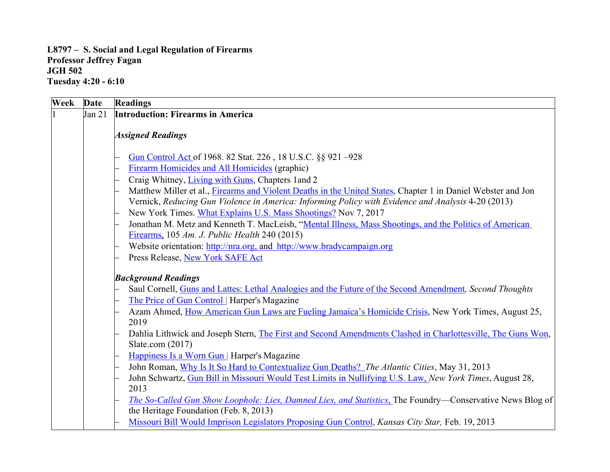## **L8797 – S. Social and Legal Regulation of Firearms Professor Jeffrey Fagan JGH 502 Tuesday 4:20 - 6:10**

| Week | <b>Date</b> | <b>Readings</b>                                                                                                                                                                                                    |
|------|-------------|--------------------------------------------------------------------------------------------------------------------------------------------------------------------------------------------------------------------|
|      | Jan 21      | <b>Introduction: Firearms in America</b>                                                                                                                                                                           |
|      |             | <b>Assigned Readings</b>                                                                                                                                                                                           |
|      |             | Gun Control Act of 1968. 82 Stat. 226, 18 U.S.C. §§ 921-928                                                                                                                                                        |
|      |             | Firearm Homicides and All Homicides (graphic)                                                                                                                                                                      |
|      |             | Craig Whitney, Living with Guns, Chapters 1 and 2                                                                                                                                                                  |
|      |             | Matthew Miller et al., Firearms and Violent Deaths in the United States, Chapter 1 in Daniel Webster and Jon<br>Vernick, Reducing Gun Violence in America: Informing Policy with Evidence and Analysis 4-20 (2013) |
|      |             | New York Times. What Explains U.S. Mass Shootings? Nov 7, 2017                                                                                                                                                     |
|      |             | Jonathan M. Metz and Kenneth T. MacLeish, "Mental Illness, Mass Shootings, and the Politics of American<br>Firearms, 105 Am. J. Public Health 240 (2015)                                                           |
|      |             | Website orientation: http://nra.org. and http://www.bradycampaign.org                                                                                                                                              |
|      |             | Press Release, New York SAFE Act                                                                                                                                                                                   |
|      |             | <b>Background Readings</b>                                                                                                                                                                                         |
|      |             | Saul Cornell, Guns and Lattes: Lethal Analogies and the Future of the Second Amendment, Second Thoughts                                                                                                            |
|      |             | The Price of Gun Control   Harper's Magazine                                                                                                                                                                       |
|      |             | Azam Ahmed, How American Gun Laws are Fueling Jamaica's Homicide Crisis, New York Times, August 25,<br>2019                                                                                                        |
|      |             | Dahlia Lithwick and Joseph Stern, The First and Second Amendments Clashed in Charlottesville, The Guns Won,<br>Slate.com $(2017)$                                                                                  |
|      |             | Happiness Is a Worn Gun   Harper's Magazine                                                                                                                                                                        |
|      |             | John Roman, Why Is It So Hard to Contextualize Gun Deaths? The Atlantic Cities, May 31, 2013                                                                                                                       |
|      |             | John Schwartz, Gun Bill in Missouri Would Test Limits in Nullifying U.S. Law, New York Times, August 28,                                                                                                           |
|      |             | 2013                                                                                                                                                                                                               |
|      |             | The So-Called Gun Show Loophole: Lies, Damned Lies, and Statistics, The Foundry-Conservative News Blog of                                                                                                          |
|      |             | the Heritage Foundation (Feb. 8, 2013)                                                                                                                                                                             |
|      |             | Missouri Bill Would Imprison Legislators Proposing Gun Control, Kansas City Star, Feb. 19, 2013                                                                                                                    |
|      |             |                                                                                                                                                                                                                    |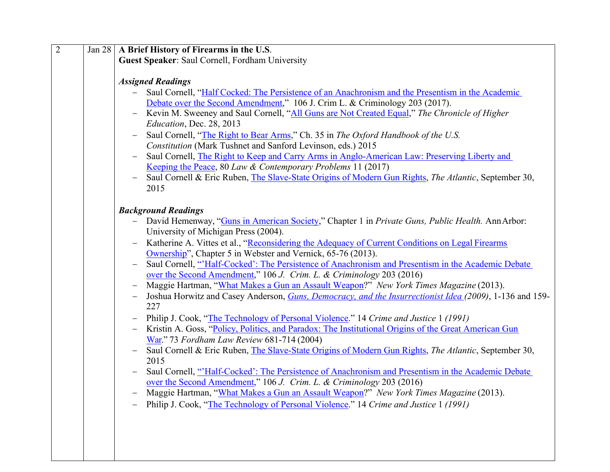| $\overline{2}$ | Jan 28   A Brief History of Firearms in the U.S.                                                                                       |
|----------------|----------------------------------------------------------------------------------------------------------------------------------------|
|                | Guest Speaker: Saul Cornell, Fordham University                                                                                        |
|                |                                                                                                                                        |
|                | <b>Assigned Readings</b>                                                                                                               |
|                | Saul Cornell, "Half Cocked: The Persistence of an Anachronism and the Presentism in the Academic                                       |
|                | Debate over the Second Amendment," 106 J. Crim L. & Criminology 203 (2017).                                                            |
|                | Kevin M. Sweeney and Saul Cornell, "All Guns are Not Created Equal," The Chronicle of Higher<br>$\overline{\phantom{0}}$               |
|                | Education, Dec. 28, 2013                                                                                                               |
|                | Saul Cornell, "The Right to Bear Arms," Ch. 35 in The Oxford Handbook of the U.S.<br>$\qquad \qquad -$                                 |
|                | Constitution (Mark Tushnet and Sanford Levinson, eds.) 2015                                                                            |
|                | Saul Cornell, The Right to Keep and Carry Arms in Anglo-American Law: Preserving Liberty and<br>$\qquad \qquad -$                      |
|                | Keeping the Peace, 80 Law & Contemporary Problems 11 (2017)                                                                            |
|                | Saul Cornell & Eric Ruben, The Slave-State Origins of Modern Gun Rights, The Atlantic, September 30,                                   |
|                | 2015                                                                                                                                   |
|                |                                                                                                                                        |
|                | <b>Background Readings</b>                                                                                                             |
|                | - David Hemenway, "Guns in American Society," Chapter 1 in Private Guns, Public Health. Ann Arbor:                                     |
|                | University of Michigan Press (2004).                                                                                                   |
|                | Katherine A. Vittes et al., "Reconsidering the Adequacy of Current Conditions on Legal Firearms<br>$\overline{\phantom{0}}$            |
|                | Ownership", Chapter 5 in Webster and Vernick, 65-76 (2013).                                                                            |
|                | Saul Cornell, "Half-Cocked': The Persistence of Anachronism and Presentism in the Academic Debate<br>$\hspace{1.0cm} - \hspace{1.0cm}$ |
|                | over the Second Amendment," 106 J. Crim. L. & Criminology 203 (2016)                                                                   |
|                | Maggie Hartman, "What Makes a Gun an Assault Weapon?" New York Times Magazine (2013).<br>$\overline{\phantom{0}}$                      |
|                | Joshua Horwitz and Casey Anderson, <i>Guns, Democracy, and the Insurrectionist Idea (2009)</i> , 1-136 and 159-<br>$\qquad \qquad -$   |
|                | 227                                                                                                                                    |
|                | Philip J. Cook, "The Technology of Personal Violence." 14 Crime and Justice 1 (1991)                                                   |
|                | Kristin A. Goss, "Policy, Politics, and Paradox: The Institutional Origins of the Great American Gun                                   |
|                | War." 73 Fordham Law Review 681-714 (2004)                                                                                             |
|                | Saul Cornell & Eric Ruben, The Slave-State Origins of Modern Gun Rights, The Atlantic, September 30,<br>$\qquad \qquad -$              |
|                | 2015                                                                                                                                   |
|                | Saul Cornell, "Half-Cocked': The Persistence of Anachronism and Presentism in the Academic Debate                                      |
|                | over the Second Amendment," 106 J. Crim. L. & Criminology 203 (2016)                                                                   |
|                | Maggie Hartman, "What Makes a Gun an Assault Weapon?" New York Times Magazine (2013).<br>$\overline{\phantom{0}}$                      |
|                | Philip J. Cook, "The Technology of Personal Violence." 14 Crime and Justice 1 (1991)                                                   |
|                |                                                                                                                                        |
|                |                                                                                                                                        |
|                |                                                                                                                                        |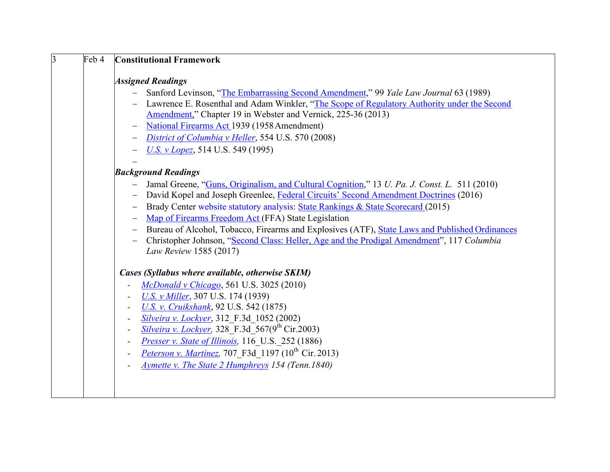| $\overline{3}$ | Feb 4 | <b>Constitutional Framework</b>                                                                                     |
|----------------|-------|---------------------------------------------------------------------------------------------------------------------|
|                |       | <b>Assigned Readings</b>                                                                                            |
|                |       | Sanford Levinson, "The Embarrassing Second Amendment," 99 Yale Law Journal 63 (1989)                                |
|                |       | Lawrence E. Rosenthal and Adam Winkler, "The Scope of Regulatory Authority under the Second                         |
|                |       | Amendment," Chapter 19 in Webster and Vernick, 225-36 (2013)                                                        |
|                |       | National Firearms Act 1939 (1958 Amendment)<br>$\qquad \qquad -$                                                    |
|                |       |                                                                                                                     |
|                |       | District of Columbia v Heller, 554 U.S. 570 (2008)<br>$\qquad \qquad -$                                             |
|                |       | U.S. v Lopez, 514 U.S. 549 (1995)                                                                                   |
|                |       |                                                                                                                     |
|                |       | <b>Background Readings</b>                                                                                          |
|                |       | Jamal Greene, "Guns, Originalism, and Cultural Cognition," 13 U. Pa. J. Const. L. 511 (2010)                        |
|                |       | David Kopel and Joseph Greenlee, Federal Circuits' Second Amendment Doctrines (2016)                                |
|                |       | Brady Center website statutory analysis: State Rankings & State Scorecard (2015)                                    |
|                |       | Map of Firearms Freedom Act (FFA) State Legislation<br>$\qquad \qquad -$                                            |
|                |       | Bureau of Alcohol, Tobacco, Firearms and Explosives (ATF), State Laws and Published Ordinances<br>$\qquad \qquad -$ |
|                |       | Christopher Johnson, "Second Class: Heller, Age and the Prodigal Amendment", 117 Columbia                           |
|                |       | Law Review 1585 (2017)                                                                                              |
|                |       | Cases (Syllabus where available, otherwise SKIM)                                                                    |
|                |       | McDonald v Chicago, 561 U.S. 3025 (2010)<br>$\overline{\phantom{a}}$                                                |
|                |       | U.S. v Miller, 307 U.S. 174 (1939)<br>$\overline{\phantom{a}}$                                                      |
|                |       | <b>U.S. v. Cruikshank</b> , 92 U.S. 542 (1875)<br>$\blacksquare$                                                    |
|                |       | Silveira v. Lockyer, 312 F.3d 1052 (2002)<br>$\overline{\phantom{a}}$                                               |
|                |       | <b>Silveira v. Lockyer, 328 F.3d 567(9th Cir.2003)</b><br>$\overline{\phantom{a}}$                                  |
|                |       | Presser v. State of Illinois, 116 U.S. 252 (1886)<br>$\overline{a}$                                                 |
|                |       | <i>Peterson v. Martinez</i> , 707 F3d 1197 (10 <sup>th</sup> Cir. 2013)<br>$\overline{a}$                           |
|                |       | <b>Aymette v. The State 2 Humphreys 154 (Tenn. 1840)</b>                                                            |
|                |       |                                                                                                                     |
|                |       |                                                                                                                     |
|                |       |                                                                                                                     |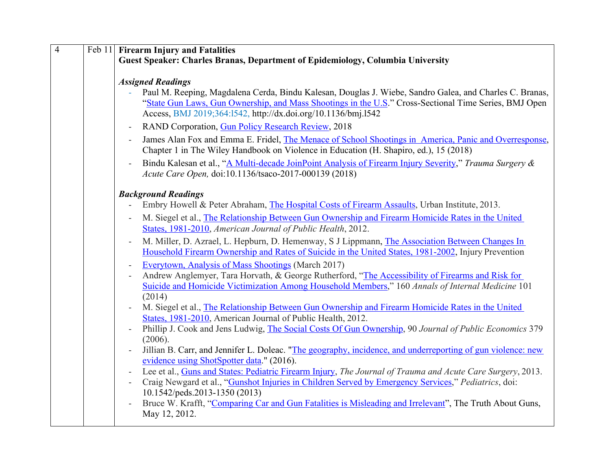| $\overline{4}$ | Feb 11 Firearm Injury and Fatalities                                                                                                                                                                                                                                                                                                                                                                                                                                                                                                                                                                                                                                                                                                                                                                                                                                                                                                                                                                                                                                                                                                                                                                                                                                                                                                                                                                                                                                                                                                                                                                                    |
|----------------|-------------------------------------------------------------------------------------------------------------------------------------------------------------------------------------------------------------------------------------------------------------------------------------------------------------------------------------------------------------------------------------------------------------------------------------------------------------------------------------------------------------------------------------------------------------------------------------------------------------------------------------------------------------------------------------------------------------------------------------------------------------------------------------------------------------------------------------------------------------------------------------------------------------------------------------------------------------------------------------------------------------------------------------------------------------------------------------------------------------------------------------------------------------------------------------------------------------------------------------------------------------------------------------------------------------------------------------------------------------------------------------------------------------------------------------------------------------------------------------------------------------------------------------------------------------------------------------------------------------------------|
|                | Guest Speaker: Charles Branas, Department of Epidemiology, Columbia University                                                                                                                                                                                                                                                                                                                                                                                                                                                                                                                                                                                                                                                                                                                                                                                                                                                                                                                                                                                                                                                                                                                                                                                                                                                                                                                                                                                                                                                                                                                                          |
|                | <b>Assigned Readings</b><br>Paul M. Reeping, Magdalena Cerda, Bindu Kalesan, Douglas J. Wiebe, Sandro Galea, and Charles C. Branas,<br>"State Gun Laws, Gun Ownership, and Mass Shootings in the U.S." Cross-Sectional Time Series, BMJ Open<br>Access, BMJ 2019;364:1542, http://dx.doi.org/10.1136/bmj.1542<br>RAND Corporation, Gun Policy Research Review, 2018<br>James Alan Fox and Emma E. Fridel, The Menace of School Shootings in America, Panic and Overresponse,<br>Chapter 1 in The Wiley Handbook on Violence in Education (H. Shapiro, ed.), 15 (2018)<br>Bindu Kalesan et al., "A Multi-decade JoinPoint Analysis of Firearm Injury Severity," Trauma Surgery &<br>Acute Care Open, doi:10.1136/tsaco-2017-000139 (2018)                                                                                                                                                                                                                                                                                                                                                                                                                                                                                                                                                                                                                                                                                                                                                                                                                                                                                |
|                | <b>Background Readings</b><br>Embry Howell & Peter Abraham, The Hospital Costs of Firearm Assaults, Urban Institute, 2013.<br>M. Siegel et al., The Relationship Between Gun Ownership and Firearm Homicide Rates in the United<br>States, 1981-2010, American Journal of Public Health, 2012.<br>M. Miller, D. Azrael, L. Hepburn, D. Hemenway, S J Lippmann, The Association Between Changes In<br>Household Firearm Ownership and Rates of Suicide in the United States, 1981-2002, Injury Prevention<br>Everytown, Analysis of Mass Shootings (March 2017)<br>Andrew Anglemyer, Tara Horvath, & George Rutherford, "The Accessibility of Firearms and Risk for<br>Suicide and Homicide Victimization Among Household Members," 160 Annals of Internal Medicine 101<br>(2014)<br>M. Siegel et al., The Relationship Between Gun Ownership and Firearm Homicide Rates in the United<br>States, 1981-2010, American Journal of Public Health, 2012.<br>Phillip J. Cook and Jens Ludwig, The Social Costs Of Gun Ownership, 90 Journal of Public Economics 379<br>(2006).<br>Jillian B. Carr, and Jennifer L. Doleac. "The geography, incidence, and underreporting of gun violence: new<br>evidence using ShotSpotter data." (2016).<br>Lee et al., Guns and States: Pediatric Firearm Injury, The Journal of Trauma and Acute Care Surgery, 2013.<br>Craig Newgard et al., "Gunshot Injuries in Children Served by Emergency Services," Pediatrics, doi:<br>10.1542/peds.2013-1350 (2013)<br>Bruce W. Krafft, "Comparing Car and Gun Fatalities is Misleading and Irrelevant", The Truth About Guns,<br>May 12, 2012. |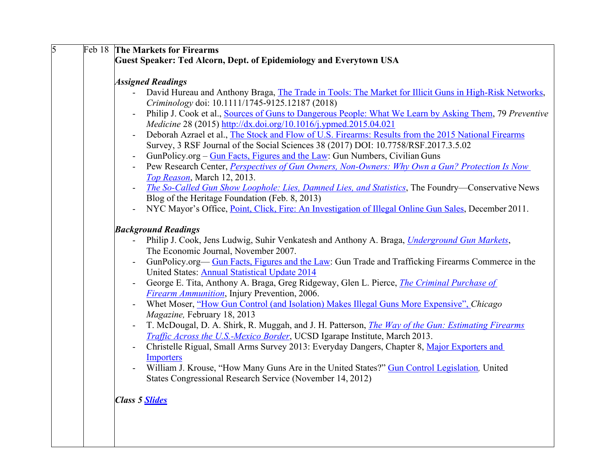| $\overline{5}$ | Feb 18 The Markets for Firearms                                                                                                                    |
|----------------|----------------------------------------------------------------------------------------------------------------------------------------------------|
|                | Guest Speaker: Ted Alcorn, Dept. of Epidemiology and Everytown USA                                                                                 |
|                |                                                                                                                                                    |
|                | <b>Assigned Readings</b>                                                                                                                           |
|                | David Hureau and Anthony Braga, The Trade in Tools: The Market for Illicit Guns in High-Risk Networks,                                             |
|                | Criminology doi: 10.1111/1745-9125.12187 (2018)                                                                                                    |
|                | Philip J. Cook et al., Sources of Guns to Dangerous People: What We Learn by Asking Them, 79 Preventive<br>$\overline{\phantom{a}}$                |
|                | Medicine 28 (2015) http://dx.doi.org/10.1016/j.ypmed.2015.04.021                                                                                   |
|                | Deborah Azrael et al., The Stock and Flow of U.S. Firearms: Results from the 2015 National Firearms<br>$\overline{\phantom{a}}$                    |
|                | Survey, 3 RSF Journal of the Social Sciences 38 (2017) DOI: 10.7758/RSF.2017.3.5.02                                                                |
|                | GunPolicy.org – Gun Facts, Figures and the Law: Gun Numbers, Civilian Guns<br>$\overline{a}$                                                       |
|                | Pew Research Center, <i>Perspectives of Gun Owners</i> , <i>Non-Owners: Why Own a Gun? Protection Is Now</i>                                       |
|                | Top Reason, March 12, 2013.                                                                                                                        |
|                | The So-Called Gun Show Loophole: Lies, Damned Lies, and Statistics, The Foundry-Conservative News                                                  |
|                | Blog of the Heritage Foundation (Feb. 8, 2013)                                                                                                     |
|                | NYC Mayor's Office, <i>Point</i> , <i>Click</i> , <i>Fire: An Investigation of Illegal Online Gun Sales</i> , <i>December 2011.</i>                |
|                |                                                                                                                                                    |
|                | <b>Background Readings</b>                                                                                                                         |
|                | Philip J. Cook, Jens Ludwig, Suhir Venkatesh and Anthony A. Braga, <i>Underground Gun Markets</i> ,                                                |
|                | The Economic Journal, November 2007.                                                                                                               |
|                | GunPolicy.org— Gun Facts, Figures and the Law: Gun Trade and Trafficking Firearms Commerce in the<br>United States: Annual Statistical Update 2014 |
|                | George E. Tita, Anthony A. Braga, Greg Ridgeway, Glen L. Pierce, <i>The Criminal Purchase of</i>                                                   |
|                | <b>Firearm Ammunition</b> , Injury Prevention, 2006.                                                                                               |
|                | Whet Moser, "How Gun Control (and Isolation) Makes Illegal Guns More Expensive", Chicago                                                           |
|                | Magazine, February 18, 2013                                                                                                                        |
|                | T. McDougal, D. A. Shirk, R. Muggah, and J. H. Patterson, <i>The Way of the Gun: Estimating Firearms</i><br>$\overline{\phantom{a}}$               |
|                | Traffic Across the U.S.-Mexico Border, UCSD Igarape Institute, March 2013.                                                                         |
|                | Christelle Rigual, Small Arms Survey 2013: Everyday Dangers, Chapter 8, Major Exporters and<br>$\blacksquare$                                      |
|                | Importers                                                                                                                                          |
|                | William J. Krouse, "How Many Guns Are in the United States?" Gun Control Legislation, United<br>$\blacksquare$                                     |
|                | States Congressional Research Service (November 14, 2012)                                                                                          |
|                |                                                                                                                                                    |
|                | <b>Class 5 Slides</b>                                                                                                                              |
|                |                                                                                                                                                    |
|                |                                                                                                                                                    |
|                |                                                                                                                                                    |
|                |                                                                                                                                                    |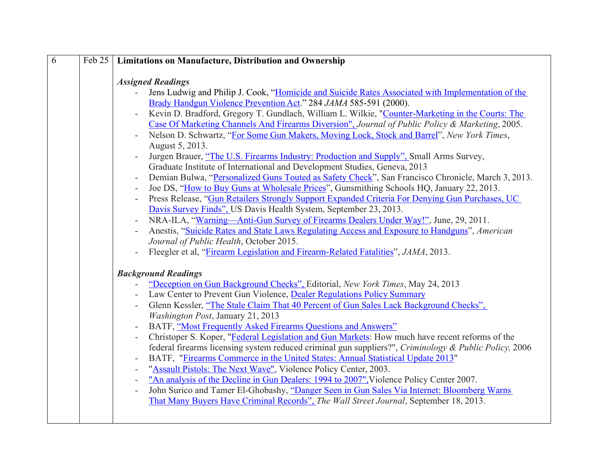| 6 | Feb $25$ | <b>Limitations on Manufacture, Distribution and Ownership</b>                                                                                                                              |
|---|----------|--------------------------------------------------------------------------------------------------------------------------------------------------------------------------------------------|
|   |          |                                                                                                                                                                                            |
|   |          | <b>Assigned Readings</b>                                                                                                                                                                   |
|   |          | Jens Ludwig and Philip J. Cook, "Homicide and Suicide Rates Associated with Implementation of the<br>$\mathcal{L}^{\pm}$                                                                   |
|   |          | Brady Handgun Violence Prevention Act." 284 JAMA 585-591 (2000).                                                                                                                           |
|   |          | Kevin D. Bradford, Gregory T. Gundlach, William L. Wilkie, "Counter-Marketing in the Courts: The<br>$\overline{\phantom{a}}$                                                               |
|   |          | Case Of Marketing Channels And Firearms Diversion", Journal of Public Policy & Marketing, 2005.                                                                                            |
|   |          | Nelson D. Schwartz, "For Some Gun Makers, Moving Lock, Stock and Barrel", New York Times,                                                                                                  |
|   |          | August 5, 2013.                                                                                                                                                                            |
|   |          | Jurgen Brauer, "The U.S. Firearms Industry: Production and Supply", Small Arms Survey,                                                                                                     |
|   |          | Graduate Institute of International and Development Studies, Geneva, 2013                                                                                                                  |
|   |          | Demian Bulwa, "Personalized Guns Touted as Safety Check", San Francisco Chronicle, March 3, 2013.<br>$\overline{\phantom{a}}$                                                              |
|   |          | Joe DS, "How to Buy Guns at Wholesale Prices", Gunsmithing Schools HQ, January 22, 2013.<br>$\overline{\phantom{a}}$                                                                       |
|   |          | Press Release, "Gun Retailers Strongly Support Expanded Criteria For Denying Gun Purchases, UC<br>$\overline{\phantom{a}}$                                                                 |
|   |          | Davis Survey Finds", US Davis Health System, September 23, 2013.                                                                                                                           |
|   |          | NRA-ILA, "Warning—Anti-Gun Survey of Firearms Dealers Under Way!", June, 29, 2011.                                                                                                         |
|   |          | Anestis, "Suicide Rates and State Laws Regulating Access and Exposure to Handguns", American                                                                                               |
|   |          | Journal of Public Health, October 2015.                                                                                                                                                    |
|   |          | Fleegler et al, "Firearm Legislation and Firearm-Related Fatalities", JAMA, 2013.                                                                                                          |
|   |          |                                                                                                                                                                                            |
|   |          | <b>Background Readings</b>                                                                                                                                                                 |
|   |          | "Deception on Gun Background Checks", Editorial, New York Times, May 24, 2013                                                                                                              |
|   |          | Law Center to Prevent Gun Violence, Dealer Regulations Policy Summary                                                                                                                      |
|   |          | Glenn Kessler, "The Stale Claim That 40 Percent of Gun Sales Lack Background Checks",                                                                                                      |
|   |          | <b>Washington Post, January 21, 2013</b>                                                                                                                                                   |
|   |          | BATF, "Most Frequently Asked Firearms Questions and Answers"<br>$\overline{\phantom{a}}$<br>Christoper S. Koper, "Federal Legislation and Gun Markets: How much have recent reforms of the |
|   |          | federal firearms licensing system reduced criminal gun suppliers?", Criminology & Public Policy, 2006                                                                                      |
|   |          |                                                                                                                                                                                            |
|   |          | BATF, "Firearms Commerce in the United States: Annual Statistical Update 2013"<br>"Assault Pistols: The Next Wave", Violence Policy Center, 2003.                                          |
|   |          | "An analysis of the Decline in Gun Dealers: 1994 to 2007", Violence Policy Center 2007.<br>$\overline{\phantom{a}}$                                                                        |
|   |          | John Surico and Tamer El-Ghobashy, "Danger Seen in Gun Sales Via Internet: Bloomberg Warns<br>$\overline{\phantom{a}}$                                                                     |
|   |          | That Many Buyers Have Criminal Records", The Wall Street Journal, September 18, 2013.                                                                                                      |
|   |          |                                                                                                                                                                                            |
|   |          |                                                                                                                                                                                            |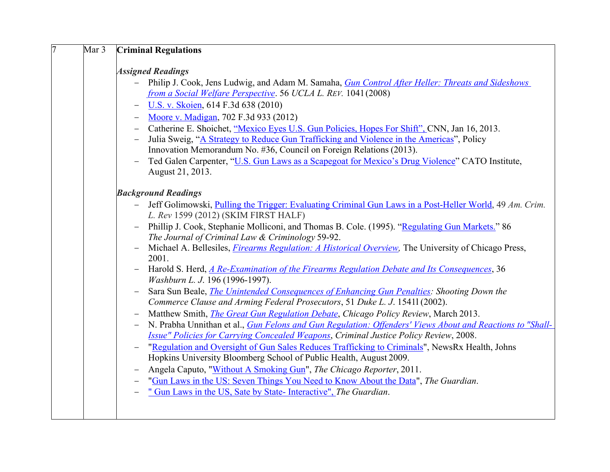| 7<br>Mar 3 | <b>Criminal Regulations</b>                                                                                                                                                                                                                                                                                                                                                                                                                                                                                                                                                                                                                                                                                                                                                                                                                                                                                                                                                                                                                                                                                                                                                                                                                                                                                                                                                                                                                                                                                                                                                                                                                                  |
|------------|--------------------------------------------------------------------------------------------------------------------------------------------------------------------------------------------------------------------------------------------------------------------------------------------------------------------------------------------------------------------------------------------------------------------------------------------------------------------------------------------------------------------------------------------------------------------------------------------------------------------------------------------------------------------------------------------------------------------------------------------------------------------------------------------------------------------------------------------------------------------------------------------------------------------------------------------------------------------------------------------------------------------------------------------------------------------------------------------------------------------------------------------------------------------------------------------------------------------------------------------------------------------------------------------------------------------------------------------------------------------------------------------------------------------------------------------------------------------------------------------------------------------------------------------------------------------------------------------------------------------------------------------------------------|
|            | <b>Assigned Readings</b><br>Philip J. Cook, Jens Ludwig, and Adam M. Samaha, <i>Gun Control After Heller: Threats and Sideshows</i><br>$ \,$<br>from a Social Welfare Perspective. 56 UCLA L. REV. 1041 (2008)<br>U.S. v. Skoien, 614 F.3d 638 (2010)<br>$\overline{\phantom{0}}$<br>Moore v. Madigan, 702 F.3d 933 (2012)<br>$-$<br>Catherine E. Shoichet, "Mexico Eyes U.S. Gun Policies, Hopes For Shift", CNN, Jan 16, 2013.<br>$\qquad \qquad -$<br>Julia Sweig, "A Strategy to Reduce Gun Trafficking and Violence in the Americas", Policy<br>Innovation Memorandum No. #36, Council on Foreign Relations (2013).<br>Ted Galen Carpenter, "U.S. Gun Laws as a Scapegoat for Mexico's Drug Violence" CATO Institute,<br>$\overline{\phantom{0}}$<br>August 21, 2013.                                                                                                                                                                                                                                                                                                                                                                                                                                                                                                                                                                                                                                                                                                                                                                                                                                                                                   |
|            | <b>Background Readings</b><br>Jeff Golimowski, Pulling the Trigger: Evaluating Criminal Gun Laws in a Post-Heller World, 49 Am. Crim.<br>$\equiv$<br>L. Rev 1599 (2012) (SKIM FIRST HALF)<br>Phillip J. Cook, Stephanie Molliconi, and Thomas B. Cole. (1995). "Regulating Gun Markets." 86<br>The Journal of Criminal Law & Criminology 59-92.<br>Michael A. Bellesiles, <i>Firearms Regulation: A Historical Overview</i> , The University of Chicago Press,<br>$\overline{\phantom{m}}$<br>2001.<br>Harold S. Herd, A Re-Examination of the Firearms Regulation Debate and Its Consequences, 36<br>$\overline{\phantom{m}}$<br>Washburn L. J. 196 (1996-1997).<br>Sara Sun Beale, <i>The Unintended Consequences of Enhancing Gun Penalties: Shooting Down the</i><br>Commerce Clause and Arming Federal Prosecutors, 51 Duke L. J. 15411 (2002).<br>Matthew Smith, <i>The Great Gun Regulation Debate</i> , <i>Chicago Policy Review</i> , March 2013.<br>$\overline{\phantom{0}}$<br>N. Prabha Unnithan et al., Gun Felons and Gun Regulation: Offenders' Views About and Reactions to "Shall-<br>$\overline{\phantom{m}}$<br><b>Issue" Policies for Carrying Concealed Weapons, Criminal Justice Policy Review, 2008.</b><br>"Regulation and Oversight of Gun Sales Reduces Trafficking to Criminals", NewsRx Health, Johns<br>Hopkins University Bloomberg School of Public Health, August 2009.<br>Angela Caputo, "Without A Smoking Gun", The Chicago Reporter, 2011.<br>$\qquad \qquad -$<br>"Gun Laws in the US: Seven Things You Need to Know About the Data", The Guardian.<br>" Gun Laws in the US, Sate by State- Interactive", The Guardian. |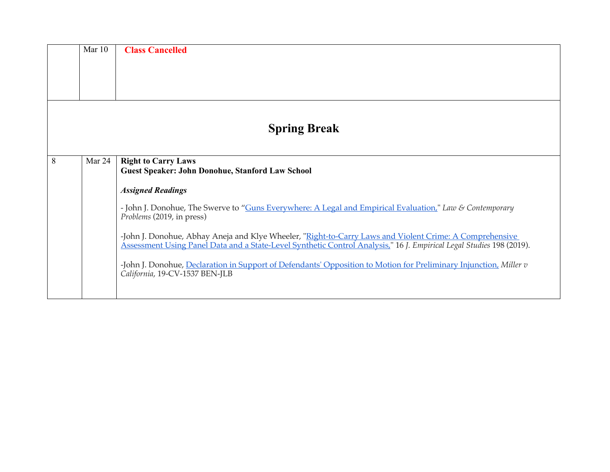|   | Mar $10$ | <b>Class Cancelled</b>                                                                                                                                                                                                          |
|---|----------|---------------------------------------------------------------------------------------------------------------------------------------------------------------------------------------------------------------------------------|
|   |          |                                                                                                                                                                                                                                 |
|   |          | <b>Spring Break</b>                                                                                                                                                                                                             |
| 8 | Mar 24   | <b>Right to Carry Laws</b><br><b>Guest Speaker: John Donohue, Stanford Law School</b>                                                                                                                                           |
|   |          | <b>Assigned Readings</b>                                                                                                                                                                                                        |
|   |          | - John J. Donohue, The Swerve to "Guns Everywhere: A Legal and Empirical Evaluation," Law & Contemporary<br>Problems (2019, in press)                                                                                           |
|   |          | -John J. Donohue, Abhay Aneja and Klye Wheeler, "Right-to-Carry Laws and Violent Crime: A Comprehensive<br>Assessment Using Panel Data and a State-Level Synthetic Control Analysis," 16 J. Empirical Legal Studies 198 (2019). |
|   |          | -John J. Donohue, Declaration in Support of Defendants' Opposition to Motion for Preliminary Injunction, Miller v<br>California, 19-CV-1537 BEN-JLB                                                                             |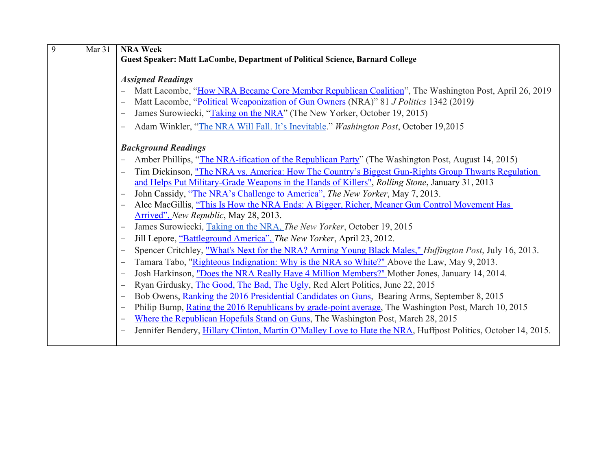| 9 | Mar 31 | <b>NRA Week</b>                                                                                                          |
|---|--------|--------------------------------------------------------------------------------------------------------------------------|
|   |        | <b>Guest Speaker: Matt LaCombe, Department of Political Science, Barnard College</b>                                     |
|   |        |                                                                                                                          |
|   |        | <b>Assigned Readings</b>                                                                                                 |
|   |        | Matt Lacombe, "How NRA Became Core Member Republican Coalition", The Washington Post, April 26, 2019                     |
|   |        | Matt Lacombe, "Political Weaponization of Gun Owners (NRA)" 81 J Politics 1342 (2019)                                    |
|   |        | James Surowiecki, "Taking on the NRA" (The New Yorker, October 19, 2015)                                                 |
|   |        | Adam Winkler, "The NRA Will Fall. It's Inevitable." Washington Post, October 19,2015                                     |
|   |        |                                                                                                                          |
|   |        | <b>Background Readings</b>                                                                                               |
|   |        | Amber Phillips, "The NRA-ification of the Republican Party" (The Washington Post, August 14, 2015)                       |
|   |        | Tim Dickinson, "The NRA vs. America: How The Country's Biggest Gun-Rights Group Thwarts Regulation                       |
|   |        | and Helps Put Military-Grade Weapons in the Hands of Killers", Rolling Stone, January 31, 2013                           |
|   |        | John Cassidy, "The NRA's Challenge to America", The New Yorker, May 7, 2013.                                             |
|   |        | Alec MacGillis, "This Is How the NRA Ends: A Bigger, Richer, Meaner Gun Control Movement Has<br>$\overline{\phantom{m}}$ |
|   |        | Arrived", New Republic, May 28, 2013.                                                                                    |
|   |        | James Surowiecki, Taking on the NRA, The New Yorker, October 19, 2015                                                    |
|   |        | Jill Lepore, "Battleground America", The New Yorker, April 23, 2012.<br>$\qquad \qquad -$                                |
|   |        | Spencer Critchley, "What's Next for the NRA? Arming Young Black Males," <i>Huffington Post</i> , July 16, 2013.          |
|   |        | Tamara Tabo, "Righteous Indignation: Why is the NRA so White?" Above the Law, May 9, 2013.<br>$\overline{\phantom{m}}$   |
|   |        | Josh Harkinson, "Does the NRA Really Have 4 Million Members?" Mother Jones, January 14, 2014.<br>$\qquad \qquad -$       |
|   |        | Ryan Girdusky, The Good, The Bad, The Ugly, Red Alert Politics, June 22, 2015<br>$\qquad \qquad -$                       |
|   |        | Bob Owens, Ranking the 2016 Presidential Candidates on Guns, Bearing Arms, September 8, 2015<br>$\overline{\phantom{m}}$ |
|   |        | Philip Bump, Rating the 2016 Republicans by grade-point average, The Washington Post, March 10, 2015                     |
|   |        | Where the Republican Hopefuls Stand on Guns, The Washington Post, March 28, 2015                                         |
|   |        | Jennifer Bendery, Hillary Clinton, Martin O'Malley Love to Hate the NRA, Huffpost Politics, October 14, 2015.            |
|   |        |                                                                                                                          |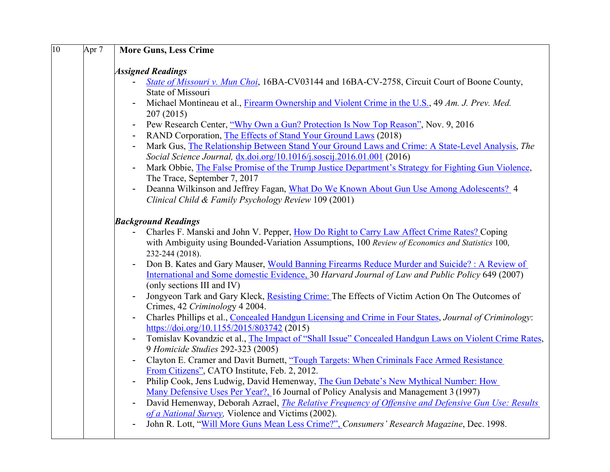| 10 | Apr <sub>7</sub> | <b>More Guns, Less Crime</b>                                                                                                                         |
|----|------------------|------------------------------------------------------------------------------------------------------------------------------------------------------|
|    |                  | <b>Assigned Readings</b>                                                                                                                             |
|    |                  | $\blacksquare$                                                                                                                                       |
|    |                  | State of Missouri v. Mun Choi, 16BA-CV03144 and 16BA-CV-2758, Circuit Court of Boone County,<br>State of Missouri                                    |
|    |                  | Michael Montineau et al., Firearm Ownership and Violent Crime in the U.S., 49 Am. J. Prev. Med.<br>$\blacksquare$                                    |
|    |                  | 207(2015)                                                                                                                                            |
|    |                  | Pew Research Center, "Why Own a Gun? Protection Is Now Top Reason", Nov. 9, 2016<br>$\blacksquare$                                                   |
|    |                  | RAND Corporation, The Effects of Stand Your Ground Laws (2018)                                                                                       |
|    |                  | Mark Gus, The Relationship Between Stand Your Ground Laws and Crime: A State-Level Analysis, The<br>$\blacksquare$                                   |
|    |                  | Social Science Journal, dx.doi.org/10.1016/j.soscij.2016.01.001 (2016)                                                                               |
|    |                  | Mark Obbie, The False Promise of the Trump Justice Department's Strategy for Fighting Gun Violence,<br>$\blacksquare$                                |
|    |                  | The Trace, September 7, 2017                                                                                                                         |
|    |                  | Deanna Wilkinson and Jeffrey Fagan, What Do We Known About Gun Use Among Adolescents? 4<br>$\frac{1}{2}$                                             |
|    |                  | Clinical Child & Family Psychology Review 109 (2001)                                                                                                 |
|    |                  | <b>Background Readings</b>                                                                                                                           |
|    |                  | Charles F. Manski and John V. Pepper, How Do Right to Carry Law Affect Crime Rates? Coping<br>$\blacksquare$                                         |
|    |                  | with Ambiguity using Bounded-Variation Assumptions, 100 Review of Economics and Statistics 100,                                                      |
|    |                  | 232-244 (2018).                                                                                                                                      |
|    |                  | Don B. Kates and Gary Mauser, Would Banning Firearms Reduce Murder and Suicide? : A Review of                                                        |
|    |                  | International and Some domestic Evidence, 30 Harvard Journal of Law and Public Policy 649 (2007)                                                     |
|    |                  | (only sections III and IV)                                                                                                                           |
|    |                  | Jongyeon Tark and Gary Kleck, Resisting Crime: The Effects of Victim Action On The Outcomes of                                                       |
|    |                  | Crimes, 42 Criminology 4 2004.                                                                                                                       |
|    |                  | Charles Phillips et al., Concealed Handgun Licensing and Crime in Four States, Journal of Criminology:<br>https://doi.org/10.1155/2015/803742 (2015) |
|    |                  | Tomislav Kovandzic et al., The Impact of "Shall Issue" Concealed Handgun Laws on Violent Crime Rates,                                                |
|    |                  | 9 Homicide Studies 292-323 (2005)                                                                                                                    |
|    |                  | Clayton E. Cramer and Davit Burnett, "Tough Targets: When Criminals Face Armed Resistance                                                            |
|    |                  | From Citizens", CATO Institute, Feb. 2, 2012.                                                                                                        |
|    |                  | Philip Cook, Jens Ludwig, David Hemenway, The Gun Debate's New Mythical Number: How<br>$\qquad \qquad \blacksquare$                                  |
|    |                  | Many Defensive Uses Per Year?, 16 Journal of Policy Analysis and Management 3 (1997)                                                                 |
|    |                  | David Hemenway, Deborah Azrael, <i>The Relative Frequency of Offensive and Defensive Gun Use: Results</i>                                            |
|    |                  | of a National Survey, Violence and Victims (2002).                                                                                                   |
|    |                  | John R. Lott, "Will More Guns Mean Less Crime?", Consumers' Research Magazine, Dec. 1998.                                                            |
|    |                  |                                                                                                                                                      |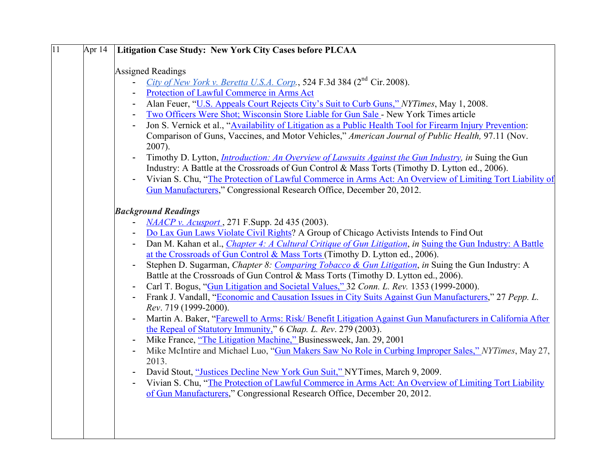| $\overline{11}$ | Apr 14 | Litigation Case Study: New York City Cases before PLCAA                                                                         |
|-----------------|--------|---------------------------------------------------------------------------------------------------------------------------------|
|                 |        | <b>Assigned Readings</b>                                                                                                        |
|                 |        | City of New York v. Beretta U.S.A. Corp., 524 F.3d 384 ( $2nd$ Cir. 2008).                                                      |
|                 |        | Protection of Lawful Commerce in Arms Act                                                                                       |
|                 |        | Alan Feuer, "U.S. Appeals Court Rejects City's Suit to Curb Guns," NYTimes, May 1, 2008.                                        |
|                 |        | Two Officers Were Shot; Wisconsin Store Liable for Gun Sale - New York Times article                                            |
|                 |        | Jon S. Vernick et al., "Availability of Litigation as a Public Health Tool for Firearm Injury Prevention:                       |
|                 |        | Comparison of Guns, Vaccines, and Motor Vehicles," American Journal of Public Health, 97.11 (Nov.<br>2007).                     |
|                 |        | Timothy D. Lytton, <i>Introduction: An Overview of Lawsuits Against the Gun Industry</i> , in Suing the Gun                     |
|                 |        | Industry: A Battle at the Crossroads of Gun Control & Mass Torts (Timothy D. Lytton ed., 2006).                                 |
|                 |        | Vivian S. Chu, "The Protection of Lawful Commerce in Arms Act: An Overview of Limiting Tort Liability of                        |
|                 |        | Gun Manufacturers," Congressional Research Office, December 20, 2012.                                                           |
|                 |        | <b>Background Readings</b>                                                                                                      |
|                 |        | <i>NAACP v. Acusport</i> , 271 F.Supp. 2d 435 (2003).                                                                           |
|                 |        | Do Lax Gun Laws Violate Civil Rights? A Group of Chicago Activists Intends to Find Out                                          |
|                 |        | Dan M. Kahan et al., <i>Chapter 4: A Cultural Critique of Gun Litigation</i> , in Suing the Gun Industry: A Battle              |
|                 |        | at the Crossroads of Gun Control & Mass Torts (Timothy D. Lytton ed., 2006).                                                    |
|                 |        | Stephen D. Sugarman, Chapter 8: Comparing Tobacco & Gun Litigation, in Suing the Gun Industry: A                                |
|                 |        | Battle at the Crossroads of Gun Control & Mass Torts (Timothy D. Lytton ed., 2006).                                             |
|                 |        | Carl T. Bogus, "Gun Litigation and Societal Values," 32 Conn. L. Rev. 1353 (1999-2000).                                         |
|                 |        | Frank J. Vandall, "Economic and Causation Issues in City Suits Against Gun Manufacturers," 27 Pepp. L.<br>Rev. 719 (1999-2000). |
|                 |        | Martin A. Baker, "Farewell to Arms: Risk/ Benefit Litigation Against Gun Manufacturers in California After                      |
|                 |        | the Repeal of Statutory Immunity," 6 Chap. L. Rev. 279 (2003).                                                                  |
|                 |        | Mike France, "The Litigation Machine," Businessweek, Jan. 29, 2001                                                              |
|                 |        | Mike McIntire and Michael Luo, "Gun Makers Saw No Role in Curbing Improper Sales," NYTimes, May 27,                             |
|                 |        | 2013.                                                                                                                           |
|                 |        | David Stout, "Justices Decline New York Gun Suit," NYTimes, March 9, 2009.                                                      |
|                 |        | Vivian S. Chu, "The Protection of Lawful Commerce in Arms Act: An Overview of Limiting Tort Liability                           |
|                 |        | of Gun Manufacturers," Congressional Research Office, December 20, 2012.                                                        |
|                 |        |                                                                                                                                 |
|                 |        |                                                                                                                                 |
|                 |        |                                                                                                                                 |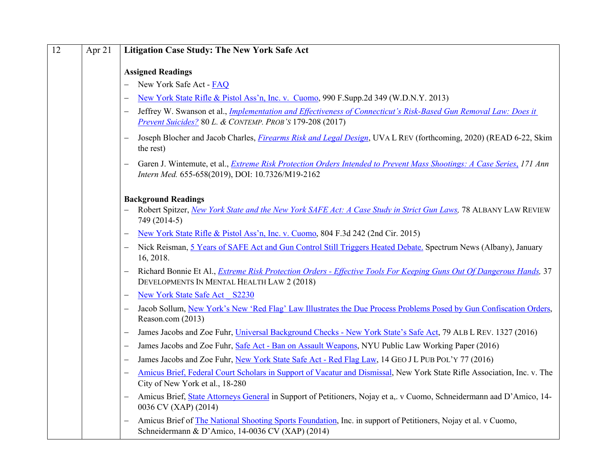| 12 | Apr 21 | <b>Litigation Case Study: The New York Safe Act</b>                                                                                                                                                             |
|----|--------|-----------------------------------------------------------------------------------------------------------------------------------------------------------------------------------------------------------------|
|    |        | <b>Assigned Readings</b>                                                                                                                                                                                        |
|    |        | New York Safe Act - FAQ                                                                                                                                                                                         |
|    |        | New York State Rifle & Pistol Ass'n, Inc. v. Cuomo, 990 F.Supp.2d 349 (W.D.N.Y. 2013)<br>$\overline{\phantom{0}}$                                                                                               |
|    |        | Jeffrey W. Swanson et al., <i>Implementation and Effectiveness of Connecticut's Risk-Based Gun Removal Law: Does it</i><br>$\overline{\phantom{0}}$<br>Prevent Suicides? 80 L. & CONTEMP. PROB'S 179-208 (2017) |
|    |        | Joseph Blocher and Jacob Charles, <i>Firearms Risk and Legal Design</i> , UVA L REV (forthcoming, 2020) (READ 6-22, Skim<br>$\overline{\phantom{0}}$<br>the rest)                                               |
|    |        | Garen J. Wintemute, et al., Extreme Risk Protection Orders Intended to Prevent Mass Shootings: A Case Series, 171 Ann<br>$\overline{\phantom{0}}$<br>Intern Med. 655-658(2019), DOI: 10.7326/M19-2162           |
|    |        | <b>Background Readings</b><br>Robert Spitzer, New York State and the New York SAFE Act: A Case Study in Strict Gun Laws, 78 ALBANY LAW REVIEW<br>749 (2014-5)                                                   |
|    |        | New York State Rifle & Pistol Ass'n, Inc. v. Cuomo, 804 F.3d 242 (2nd Cir. 2015)<br>$\overline{\phantom{0}}$                                                                                                    |
|    |        | Nick Reisman, 5 Years of SAFE Act and Gun Control Still Triggers Heated Debate. Spectrum News (Albany), January<br>$\overline{\phantom{0}}$<br>16, 2018.                                                        |
|    |        | Richard Bonnie Et Al., <i>Extreme Risk Protection Orders - Effective Tools For Keeping Guns Out Of Dangerous Hands</i> , 37<br>$\overline{\phantom{0}}$<br>DEVELOPMENTS IN MENTAL HEALTH LAW 2 (2018)           |
|    |        | New York State Safe Act S2230<br>$\overline{\phantom{0}}$                                                                                                                                                       |
|    |        | Jacob Sollum, New York's New 'Red Flag' Law Illustrates the Due Process Problems Posed by Gun Confiscation Orders,<br>$\overline{\phantom{0}}$<br>Reason.com (2013)                                             |
|    |        | James Jacobs and Zoe Fuhr, Universal Background Checks - New York State's Safe Act, 79 ALB L REV. 1327 (2016)<br>—                                                                                              |
|    |        | James Jacobs and Zoe Fuhr, Safe Act - Ban on Assault Weapons, NYU Public Law Working Paper (2016)<br>$\overline{\phantom{0}}$                                                                                   |
|    |        | James Jacobs and Zoe Fuhr, New York State Safe Act - Red Flag Law, 14 GEO J L PUB POL'Y 77 (2016)<br>—                                                                                                          |
|    |        | Amicus Brief, Federal Court Scholars in Support of Vacatur and Dismissal, New York State Rifle Association, Inc. v. The<br>$\overline{\phantom{0}}$<br>City of New York et al., 18-280                          |
|    |        | Amicus Brief, State Attorneys General in Support of Petitioners, Nojay et a,. v Cuomo, Schneidermann aad D'Amico, 14-<br>$\overline{\phantom{0}}$<br>0036 CV (XAP) (2014)                                       |
|    |        | Amicus Brief of The National Shooting Sports Foundation, Inc. in support of Petitioners, Nojay et al. v Cuomo,<br>$\overline{\phantom{0}}$<br>Schneidermann & D'Amico, 14-0036 CV (XAP) (2014)                  |